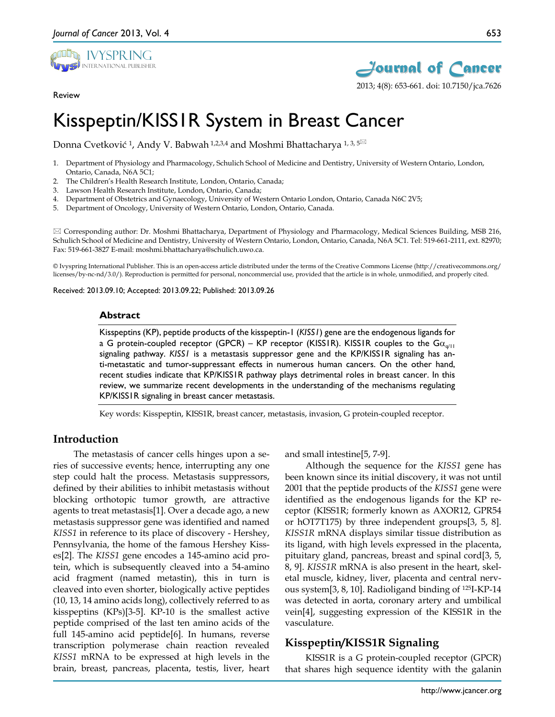

Review



2013; 4(8): 653-661. doi: 10.7150/jca.7626

# Kisspeptin/KISS1R System in Breast Cancer

Donna Cvetković <sup>1</sup>, Andy V. Babwah <sup>1,2,3,4</sup> and Moshmi Bhattacharya <sup>1,3,5⊠</sup>

- 1. Department of Physiology and Pharmacology, Schulich School of Medicine and Dentistry, University of Western Ontario, London, Ontario, Canada, N6A 5C1;
- 2. The Children's Health Research Institute, London, Ontario, Canada;
- Lawson Health Research Institute, London, Ontario, Canada;
- 4. Department of Obstetrics and Gynaecology, University of Western Ontario London, Ontario, Canada N6C 2V5;
- 5. Department of Oncology, University of Western Ontario, London, Ontario, Canada.

 Corresponding author: Dr. Moshmi Bhattacharya, Department of Physiology and Pharmacology, Medical Sciences Building, MSB 216, Schulich School of Medicine and Dentistry, University of Western Ontario, London, Ontario, Canada, N6A 5C1. Tel: 519-661-2111, ext. 82970; Fax: 519-661-3827 E-mail: moshmi.bhattacharya@schulich.uwo.ca.

© Ivyspring International Publisher. This is an open-access article distributed under the terms of the Creative Commons License (http://creativecommons.org/ licenses/by-nc-nd/3.0/). Reproduction is permitted for personal, noncommercial use, provided that the article is in whole, unmodified, and properly cited.

Received: 2013.09.10; Accepted: 2013.09.22; Published: 2013.09.26

#### **Abstract**

Kisspeptins (KP), peptide products of the kisspeptin-1 (*KISS1*) gene are the endogenous ligands for a G protein-coupled receptor (GPCR) – KP receptor (KISS1R). KISS1R couples to the G $\alpha_{q(1)}$ signaling pathway. *KISS1* is a metastasis suppressor gene and the KP/KISS1R signaling has anti-metastatic and tumor-suppressant effects in numerous human cancers. On the other hand, recent studies indicate that KP/KISS1R pathway plays detrimental roles in breast cancer. In this review, we summarize recent developments in the understanding of the mechanisms regulating KP/KISS1R signaling in breast cancer metastasis.

Key words: Kisspeptin, KISS1R, breast cancer, metastasis, invasion, G protein-coupled receptor.

### **Introduction**

The metastasis of cancer cells hinges upon a series of successive events; hence, interrupting any one step could halt the process. Metastasis suppressors, defined by their abilities to inhibit metastasis without blocking orthotopic tumor growth, are attractive agents to treat metastasis[1]. Over a decade ago, a new metastasis suppressor gene was identified and named *KISS1* in reference to its place of discovery - Hershey, Pennsylvania, the home of the famous Hershey Kisses[2]. The *KISS1* gene encodes a 145-amino acid protein, which is subsequently cleaved into a 54-amino acid fragment (named metastin), this in turn is cleaved into even shorter, biologically active peptides (10, 13, 14 amino acids long), collectively referred to as kisspeptins (KPs)[3-5]. KP-10 is the smallest active peptide comprised of the last ten amino acids of the full 145-amino acid peptide[6]. In humans, reverse transcription polymerase chain reaction revealed *KISS1* mRNA to be expressed at high levels in the brain, breast, pancreas, placenta, testis, liver, heart and small intestine[5, 7-9].

Although the sequence for the *KISS1* gene has been known since its initial discovery, it was not until 2001 that the peptide products of the *KISS1* gene were identified as the endogenous ligands for the KP receptor (KISS1R; formerly known as AXOR12, GPR54 or hOT7T175) by three independent groups[3, 5, 8]. *KISS1R* mRNA displays similar tissue distribution as its ligand, with high levels expressed in the placenta, pituitary gland, pancreas, breast and spinal cord[3, 5, 8, 9]. *KISS1R* mRNA is also present in the heart, skeletal muscle, kidney, liver, placenta and central nervous system[3, 8, 10]. Radioligand binding of 125I-KP-14 was detected in aorta, coronary artery and umbilical vein[4], suggesting expression of the KISS1R in the vasculature.

### **Kisspeptin/KISS1R Signaling**

KISS1R is a G protein-coupled receptor (GPCR) that shares high sequence identity with the galanin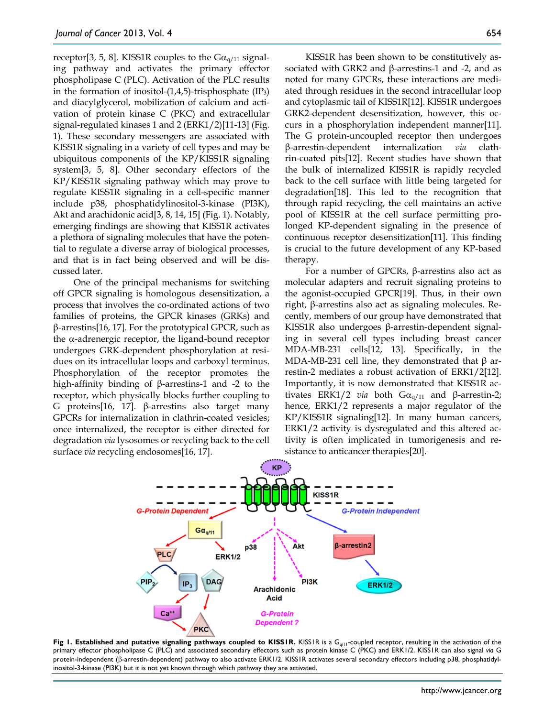receptor[3, 5, 8]. KISS1R couples to the  $Ga_{q/11}$  signaling pathway and activates the primary effector phospholipase C (PLC). Activation of the PLC results in the formation of inositol- $(1,4,5)$ -trisphosphate  $(IP_3)$ and diacylglycerol, mobilization of calcium and activation of protein kinase C (PKC) and extracellular signal-regulated kinases 1 and 2 (ERK1/2)[11-13] (Fig. 1). These secondary messengers are associated with KISS1R signaling in a variety of cell types and may be ubiquitous components of the KP/KISS1R signaling system[3, 5, 8]. Other secondary effectors of the KP/KISS1R signaling pathway which may prove to regulate KISS1R signaling in a cell-specific manner include p38, phosphatidylinositol-3-kinase (PI3K), Akt and arachidonic acid[3, 8, 14, 15] (Fig. 1). Notably, emerging findings are showing that KISS1R activates a plethora of signaling molecules that have the potential to regulate a diverse array of biological processes, and that is in fact being observed and will be discussed later.

One of the principal mechanisms for switching off GPCR signaling is homologous desensitization, a process that involves the co-ordinated actions of two families of proteins, the GPCR kinases (GRKs) and β-arrestins[16, 17]. For the prototypical GPCR, such as the α-adrenergic receptor, the ligand-bound receptor undergoes GRK-dependent phosphorylation at residues on its intracellular loops and carboxyl terminus. Phosphorylation of the receptor promotes the high-affinity binding of β-arrestins-1 and -2 to the receptor, which physically blocks further coupling to G proteins[16, 17]. β-arrestins also target many GPCRs for internalization in clathrin-coated vesicles; once internalized, the receptor is either directed for degradation *via* lysosomes or recycling back to the cell surface *via* recycling endosomes[16, 17].

KISS1R has been shown to be constitutively associated with GRK2 and β-arrestins-1 and -2, and as noted for many GPCRs, these interactions are mediated through residues in the second intracellular loop and cytoplasmic tail of KISS1R[12]. KISS1R undergoes GRK2-dependent desensitization, however, this occurs in a phosphorylation independent manner[11]. The G protein-uncoupled receptor then undergoes β-arrestin-dependent internalization *via* clathrin-coated pits[12]. Recent studies have shown that the bulk of internalized KISS1R is rapidly recycled back to the cell surface with little being targeted for degradation[18]. This led to the recognition that through rapid recycling, the cell maintains an active pool of KISS1R at the cell surface permitting prolonged KP-dependent signaling in the presence of continuous receptor desensitization[11]. This finding is crucial to the future development of any KP-based therapy.

For a number of GPCRs, β-arrestins also act as molecular adapters and recruit signaling proteins to the agonist-occupied GPCR[19]. Thus, in their own right, β-arrestins also act as signaling molecules. Recently, members of our group have demonstrated that KISS1R also undergoes β-arrestin-dependent signaling in several cell types including breast cancer MDA-MB-231 cells[12, 13]. Specifically, in the MDA-MB-231 cell line, they demonstrated that  $\beta$  arrestin-2 mediates a robust activation of ERK1/2[12]. Importantly, it is now demonstrated that KISS1R activates ERK1/2 *via* both  $Gα<sub>q/11</sub>$  and β-arrestin-2; hence, ERK1/2 represents a major regulator of the KP/KISS1R signaling[12]. In many human cancers, ERK1/2 activity is dysregulated and this altered activity is often implicated in tumorigenesis and resistance to anticancer therapies[20].



**Fig 1. Established and putative signaling pathways coupled to KISS1R. KISS1R is a G<sub>q/11</sub>-coupled receptor, resulting in the activation of the** primary effector phospholipase C (PLC) and associated secondary effectors such as protein kinase C (PKC) and ERK1/2. KISS1R can also signal *via* G protein-independent (β-arrestin-dependent) pathway to also activate ERK1/2. KISS1R activates several secondary effectors including p38, phosphatidylinositol-3-kinase (PI3K) but it is not yet known through which pathway they are activated.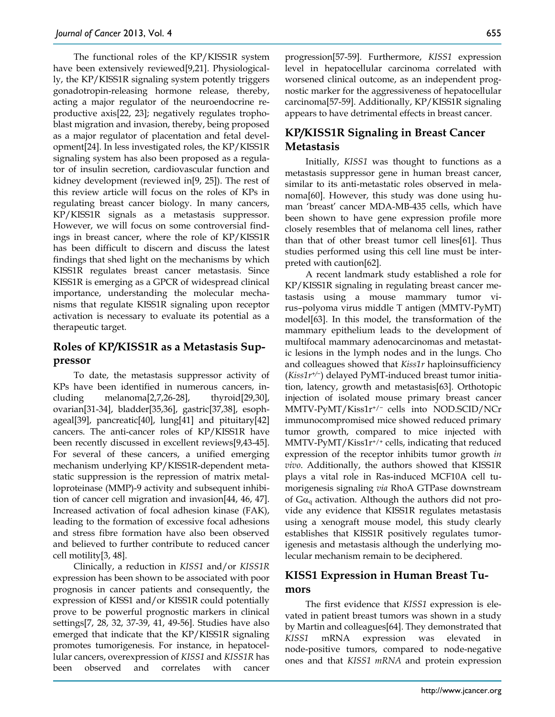The functional roles of the KP/KISS1R system have been extensively reviewed[9,21]. Physiologically, the KP/KISS1R signaling system potently triggers gonadotropin-releasing hormone release, thereby, acting a major regulator of the neuroendocrine reproductive axis[22, 23]; negatively regulates trophoblast migration and invasion, thereby, being proposed as a major regulator of placentation and fetal development[24]. In less investigated roles, the KP/KISS1R signaling system has also been proposed as a regulator of insulin secretion, cardiovascular function and kidney development (reviewed in[9, 25]). The rest of this review article will focus on the roles of KPs in regulating breast cancer biology. In many cancers, KP/KISS1R signals as a metastasis suppressor. However, we will focus on some controversial findings in breast cancer, where the role of KP/KISS1R has been difficult to discern and discuss the latest findings that shed light on the mechanisms by which KISS1R regulates breast cancer metastasis. Since KISS1R is emerging as a GPCR of widespread clinical importance, understanding the molecular mechanisms that regulate KISS1R signaling upon receptor activation is necessary to evaluate its potential as a therapeutic target.

# **Roles of KP/KISS1R as a Metastasis Suppressor**

To date, the metastasis suppressor activity of KPs have been identified in numerous cancers, including melanoma[2,7,26-28], thyroid[29,30], ovarian[31-34], bladder[35,36], gastric[37,38], esophageal[39], pancreatic[40], lung[41] and pituitary[42] cancers. The anti-cancer roles of KP/KISS1R have been recently discussed in excellent reviews[9,43-45]. For several of these cancers, a unified emerging mechanism underlying KP/KISS1R-dependent metastatic suppression is the repression of matrix metalloproteinase (MMP)-9 activity and subsequent inhibition of cancer cell migration and invasion[44, 46, 47]. Increased activation of focal adhesion kinase (FAK), leading to the formation of excessive focal adhesions and stress fibre formation have also been observed and believed to further contribute to reduced cancer cell motility[3, 48].

Clinically, a reduction in *KISS1* and/or *KISS1R* expression has been shown to be associated with poor prognosis in cancer patients and consequently, the expression of KISS1 and/or KISS1R could potentially prove to be powerful prognostic markers in clinical settings[7, 28, 32, 37-39, 41, 49-56]. Studies have also emerged that indicate that the KP/KISS1R signaling promotes tumorigenesis. For instance, in hepatocellular cancers, overexpression of *KISS1* and *KISS1R* has been observed and correlates with cancer

progression[57-59]. Furthermore, *KISS1* expression level in hepatocellular carcinoma correlated with worsened clinical outcome, as an independent prognostic marker for the aggressiveness of hepatocellular carcinoma[57-59]. Additionally, KP/KISS1R signaling appears to have detrimental effects in breast cancer.

# **KP/KISS1R Signaling in Breast Cancer Metastasis**

Initially, *KISS1* was thought to functions as a metastasis suppressor gene in human breast cancer, similar to its anti-metastatic roles observed in melanoma[60]. However, this study was done using human 'breast' cancer MDA-MB-435 cells, which have been shown to have gene expression profile more closely resembles that of melanoma cell lines, rather than that of other breast tumor cell lines[61]. Thus studies performed using this cell line must be interpreted with caution[62].

A recent landmark study established a role for KP/KISS1R signaling in regulating breast cancer metastasis using a mouse mammary tumor virus–polyoma virus middle T antigen (MMTV-PyMT) model[63]. In this model, the transformation of the mammary epithelium leads to the development of multifocal mammary adenocarcinomas and metastatic lesions in the lymph nodes and in the lungs. Cho and colleagues showed that *Kiss1r* haploinsufficiency (*Kiss1r+/−*) delayed PyMT-induced breast tumor initiation, latency, growth and metastasis[63]. Orthotopic injection of isolated mouse primary breast cancer MMTV-PyMT/Kiss1r+/− cells into NOD.SCID/NCr immunocompromised mice showed reduced primary tumor growth, compared to mice injected with MMTV-PyMT/Kiss1r+/+ cells, indicating that reduced expression of the receptor inhibits tumor growth *in vivo*. Additionally, the authors showed that KISS1R plays a vital role in Ras-induced MCF10A cell tumorigenesis signaling *via* RhoA GTPase downstream of  $Ga_{q}$  activation. Although the authors did not provide any evidence that KISS1R regulates metastasis using a xenograft mouse model, this study clearly establishes that KISS1R positively regulates tumorigenesis and metastasis although the underlying molecular mechanism remain to be deciphered.

# **KISS1 Expression in Human Breast Tumors**

The first evidence that *KISS1* expression is elevated in patient breast tumors was shown in a study by Martin and colleagues[64]. They demonstrated that *KISS1* mRNA expression was elevated in node-positive tumors, compared to node-negative ones and that *KISS1 mRNA* and protein expression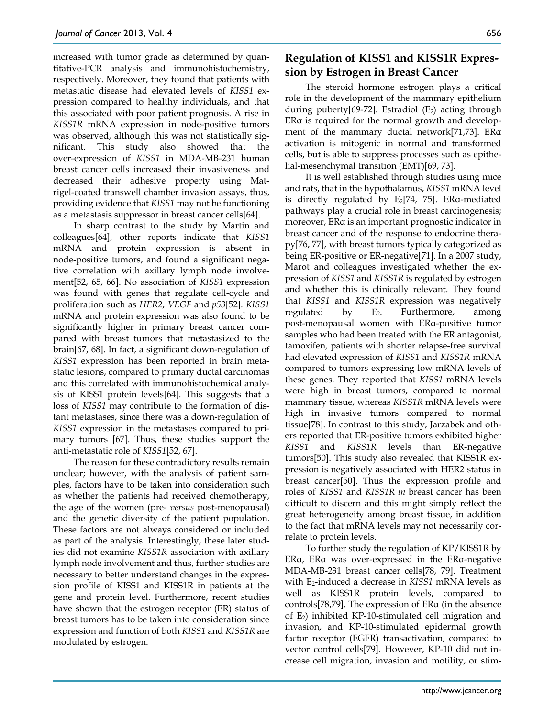increased with tumor grade as determined by quantitative-PCR analysis and immunohistochemistry, respectively. Moreover, they found that patients with metastatic disease had elevated levels of *KISS1* expression compared to healthy individuals, and that this associated with poor patient prognosis. A rise in *KISS1R* mRNA expression in node-positive tumors was observed, although this was not statistically significant. This study also showed that the over-expression of *KISS1* in MDA-MB-231 human breast cancer cells increased their invasiveness and decreased their adhesive property using Matrigel-coated transwell chamber invasion assays, thus, providing evidence that *KISS1* may not be functioning as a metastasis suppressor in breast cancer cells[64].

In sharp contrast to the study by Martin and colleagues[64], other reports indicate that *KISS1* mRNA and protein expression is absent in node-positive tumors, and found a significant negative correlation with axillary lymph node involvement[52, 65, 66]. No association of *KISS1* expression was found with genes that regulate cell-cycle and proliferation such as *HER2*, *VEGF* and *p53*[52]. *KISS1* mRNA and protein expression was also found to be significantly higher in primary breast cancer compared with breast tumors that metastasized to the brain[67, 68]. In fact, a significant down-regulation of *KISS1* expression has been reported in brain metastatic lesions, compared to primary ductal carcinomas and this correlated with immunohistochemical analysis of KISS1 protein levels[64]. This suggests that a loss of *KISS1* may contribute to the formation of distant metastases, since there was a down-regulation of *KISS1* expression in the metastases compared to primary tumors [67]. Thus, these studies support the anti-metastatic role of *KISS1*[52, 67].

The reason for these contradictory results remain unclear; however, with the analysis of patient samples, factors have to be taken into consideration such as whether the patients had received chemotherapy, the age of the women (pre- *versus* post-menopausal) and the genetic diversity of the patient population. These factors are not always considered or included as part of the analysis. Interestingly, these later studies did not examine *KISS1R* association with axillary lymph node involvement and thus, further studies are necessary to better understand changes in the expression profile of KISS1 and KISS1R in patients at the gene and protein level. Furthermore, recent studies have shown that the estrogen receptor (ER) status of breast tumors has to be taken into consideration since expression and function of both *KISS1* and *KISS1R* are modulated by estrogen.

## **Regulation of KISS1 and KISS1R Expression by Estrogen in Breast Cancer**

The steroid hormone estrogen plays a critical role in the development of the mammary epithelium during puberty[69-72]. Estradiol  $(E_2)$  acting through ERα is required for the normal growth and development of the mammary ductal network[71,73]. ERα activation is mitogenic in normal and transformed cells, but is able to suppress processes such as epithelial-mesenchymal transition (EMT)[69, 73].

It is well established through studies using mice and rats, that in the hypothalamus, *KISS1* mRNA level is directly regulated by  $E_2[74, 75]$ . ER $\alpha$ -mediated pathways play a crucial role in breast carcinogenesis; moreover, ERα is an important prognostic indicator in breast cancer and of the response to endocrine therapy[76, 77], with breast tumors typically categorized as being ER-positive or ER-negative[71]. In a 2007 study, Marot and colleagues investigated whether the expression of *KISS1* and *KISS1R* is regulated by estrogen and whether this is clinically relevant. They found that *KISS1* and *KISS1R* expression was negatively regulated by  $E_2$ . Furthermore, among post-menopausal women with ERα-positive tumor samples who had been treated with the ER antagonist, tamoxifen, patients with shorter relapse-free survival had elevated expression of *KISS1* and *KISS1R* mRNA compared to tumors expressing low mRNA levels of these genes. They reported that *KISS1* mRNA levels were high in breast tumors, compared to normal mammary tissue, whereas *KISS1R* mRNA levels were high in invasive tumors compared to normal tissue[78]. In contrast to this study, Jarzabek and others reported that ER-positive tumors exhibited higher *KISS1* and *KISS1R* levels than ER-negative tumors[50]. This study also revealed that KISS1R expression is negatively associated with HER2 status in breast cancer[50]. Thus the expression profile and roles of *KISS1* and *KISS1R in* breast cancer has been difficult to discern and this might simply reflect the great heterogeneity among breast tissue, in addition to the fact that mRNA levels may not necessarily correlate to protein levels.

To further study the regulation of KP/KISS1R by ERα, ERα was over-expressed in the ERα-negative MDA-MB-231 breast cancer cells[78, 79]. Treatment with E2-induced a decrease in *KISS1* mRNA levels as well as KISS1R protein levels, compared to controls[78,79]. The expression of ERα (in the absence of E2) inhibited KP-10-stimulated cell migration and invasion, and KP-10-stimulated epidermal growth factor receptor (EGFR) transactivation, compared to vector control cells[79]. However, KP-10 did not increase cell migration, invasion and motility, or stim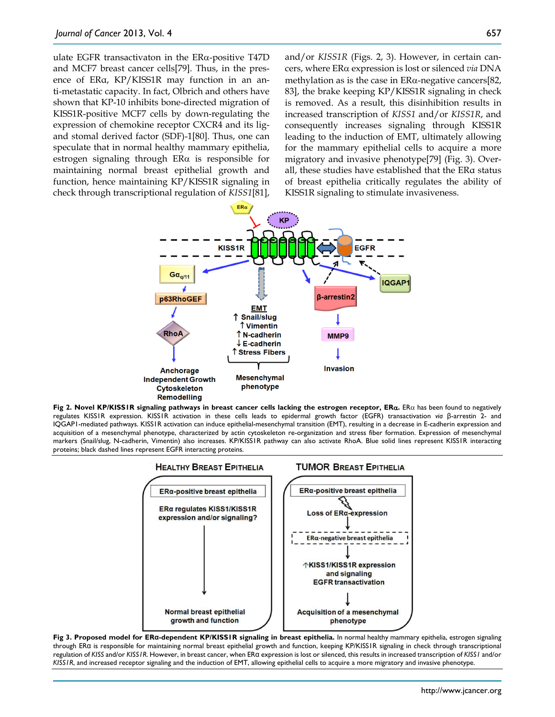ulate EGFR transactivaton in the ERα-positive T47D and MCF7 breast cancer cells[79]. Thus, in the presence of ERα, KP/KISS1R may function in an anti-metastatic capacity. In fact, Olbrich and others have shown that KP-10 inhibits bone-directed migration of KISS1R-positive MCF7 cells by down-regulating the expression of chemokine receptor CXCR4 and its ligand stomal derived factor (SDF)-1[80]. Thus, one can speculate that in normal healthy mammary epithelia, estrogen signaling through ERα is responsible for maintaining normal breast epithelial growth and function, hence maintaining KP/KISS1R signaling in check through transcriptional regulation of *KISS1*[81],

and/or *KISS1R* (Figs. 2, 3). However, in certain cancers, where ERα expression is lost or silenced *via* DNA methylation as is the case in  $ER\alpha$ -negative cancers[82, 83], the brake keeping KP/KISS1R signaling in check is removed. As a result, this disinhibition results in increased transcription of *KISS1* and/or *KISS1R*, and consequently increases signaling through KISS1R leading to the induction of EMT, ultimately allowing for the mammary epithelial cells to acquire a more migratory and invasive phenotype[79] (Fig. 3). Overall, these studies have established that the ERα status of breast epithelia critically regulates the ability of KISS1R signaling to stimulate invasiveness.



**Fig 2. Novel KP/KISS1R signaling pathways in breast cancer cells lacking the estrogen receptor, ER**α**.** ERα has been found to negatively regulates KISS1R expression. KISS1R activation in these cells leads to epidermal growth factor (EGFR) transactivation *via* β-arrestin 2- and IQGAP1-mediated pathways. KISS1R activation can induce epithelial-mesenchymal transition (EMT), resulting in a decrease in E-cadherin expression and acquisition of a mesenchymal phenotype, characterized by actin cytoskeleton re-organization and stress fiber formation. Expression of mesenchymal markers (Snail/slug, N-cadherin, Vimentin) also increases. KP/KISS1R pathway can also activate RhoA. Blue solid lines represent KISS1R interacting proteins; black dashed lines represent EGFR interacting proteins.



**Fig 3. Proposed model for ERα-dependent KP/KISS1R signaling in breast epithelia.** In normal healthy mammary epithelia, estrogen signaling through ERα is responsible for maintaining normal breast epithelial growth and function, keeping KP/KISS1R signaling in check through transcriptional regulation of *KISS* and/or *KISS1R*. However, in breast cancer, when ERα expression is lost or silenced, this results in increased transcription of *KISS1* and/or *KISS1R*, and increased receptor signaling and the induction of EMT, allowing epithelial cells to acquire a more migratory and invasive phenotype.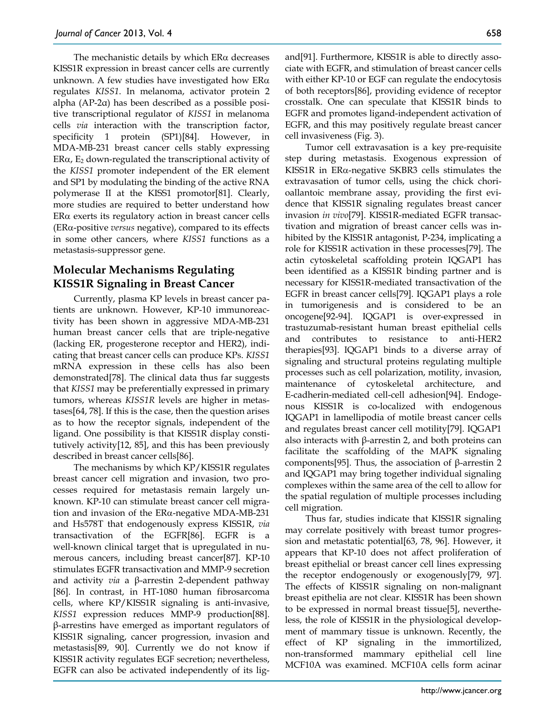The mechanistic details by which  $ER\alpha$  decreases KISS1R expression in breast cancer cells are currently unknown. A few studies have investigated how  $ER\alpha$ regulates *KISS1*. In melanoma, activator protein 2 alpha (AP-2α) has been described as a possible positive transcriptional regulator of *KISS1* in melanoma cells *via* interaction with the transcription factor, specificity 1 protein (SP1)[84]. However, in MDA-MB-231 breast cancer cells stably expressing ER $\alpha$ , E<sub>2</sub> down-regulated the transcriptional activity of the *KISS1* promoter independent of the ER element and SP1 by modulating the binding of the active RNA polymerase II at the KISS1 promotor[81]. Clearly, more studies are required to better understand how ER $\alpha$  exerts its regulatory action in breast cancer cells (ERα-positive *versus* negative), compared to its effects in some other cancers, where *KISS1* functions as a metastasis-suppressor gene.

# **Molecular Mechanisms Regulating KISS1R Signaling in Breast Cancer**

Currently, plasma KP levels in breast cancer patients are unknown. However, KP-10 immunoreactivity has been shown in aggressive MDA-MB-231 human breast cancer cells that are triple-negative (lacking ER, progesterone receptor and HER2), indicating that breast cancer cells can produce KPs. *KISS1* mRNA expression in these cells has also been demonstrated[78]. The clinical data thus far suggests that *KISS1* may be preferentially expressed in primary tumors, whereas *KISS1R* levels are higher in metastases[64, 78]. If this is the case, then the question arises as to how the receptor signals, independent of the ligand. One possibility is that KISS1R display constitutively activity[12, 85], and this has been previously described in breast cancer cells[86].

The mechanisms by which KP/KISS1R regulates breast cancer cell migration and invasion, two processes required for metastasis remain largely unknown. KP-10 can stimulate breast cancer cell migration and invasion of the ERα-negative MDA-MB-231 and Hs578T that endogenously express KISS1R, *via* transactivation of the EGFR[86]. EGFR is a well-known clinical target that is upregulated in numerous cancers, including breast cancer[87]. KP-10 stimulates EGFR transactivation and MMP-9 secretion and activity *via* a β-arrestin 2-dependent pathway [86]. In contrast, in HT-1080 human fibrosarcoma cells, where KP/KISS1R signaling is anti-invasive, *KISS1* expression reduces MMP-9 production[88]. β-arrestins have emerged as important regulators of KISS1R signaling, cancer progression, invasion and metastasis[89, 90]. Currently we do not know if KISS1R activity regulates EGF secretion; nevertheless, EGFR can also be activated independently of its ligand[91]. Furthermore, KISS1R is able to directly associate with EGFR, and stimulation of breast cancer cells with either KP-10 or EGF can regulate the endocytosis of both receptors[86], providing evidence of receptor crosstalk. One can speculate that KISS1R binds to EGFR and promotes ligand-independent activation of EGFR, and this may positively regulate breast cancer cell invasiveness (Fig. 3).

Tumor cell extravasation is a key pre-requisite step during metastasis. Exogenous expression of KISS1R in ERα-negative SKBR3 cells stimulates the extravasation of tumor cells, using the chick chorioallantoic membrane assay, providing the first evidence that KISS1R signaling regulates breast cancer invasion *in vivo*[79]. KISS1R-mediated EGFR transactivation and migration of breast cancer cells was inhibited by the KISS1R antagonist, P-234, implicating a role for KISS1R activation in these processes[79]. The actin cytoskeletal scaffolding protein IQGAP1 has been identified as a KISS1R binding partner and is necessary for KISS1R-mediated transactivation of the EGFR in breast cancer cells[79]. IQGAP1 plays a role in tumorigenesis and is considered to be an oncogene[92-94]. IQGAP1 is over-expressed in trastuzumab-resistant human breast epithelial cells and contributes to resistance to anti-HER2 therapies[93]. IQGAP1 binds to a diverse array of signaling and structural proteins regulating multiple processes such as cell polarization, motility, invasion, maintenance of cytoskeletal architecture, and E-cadherin-mediated cell-cell adhesion[94]. Endogenous KISS1R is co-localized with endogenous IQGAP1 in lamellipodia of motile breast cancer cells and regulates breast cancer cell motility[79]. IQGAP1 also interacts with β-arrestin 2, and both proteins can facilitate the scaffolding of the MAPK signaling components[95]. Thus, the association of β-arrestin 2 and IQGAP1 may bring together individual signaling complexes within the same area of the cell to allow for the spatial regulation of multiple processes including cell migration.

Thus far, studies indicate that KISS1R signaling may correlate positively with breast tumor progression and metastatic potential[63, 78, 96]. However, it appears that KP-10 does not affect proliferation of breast epithelial or breast cancer cell lines expressing the receptor endogenously or exogenously[79, 97]. The effects of KISS1R signaling on non-malignant breast epithelia are not clear. KISS1R has been shown to be expressed in normal breast tissue[5], nevertheless, the role of KISS1R in the physiological development of mammary tissue is unknown. Recently, the effect of KP signaling in the immortilized, non-transformed mammary epithelial cell line MCF10A was examined. MCF10A cells form acinar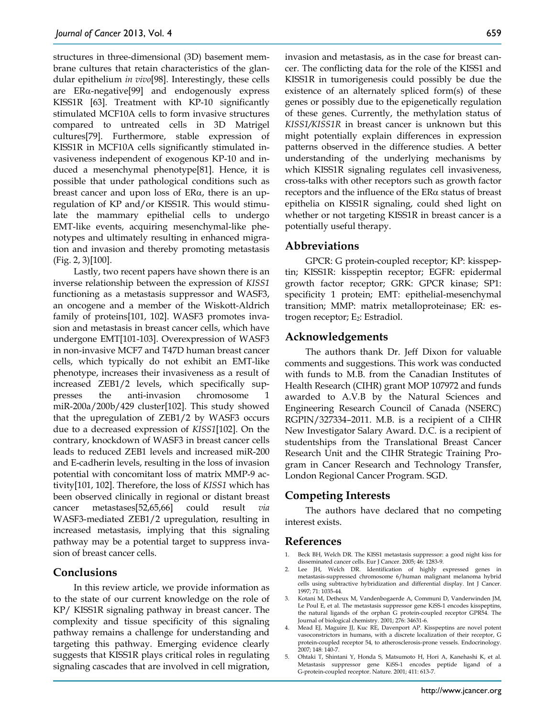structures in three-dimensional (3D) basement membrane cultures that retain characteristics of the glandular epithelium *in vivo*[98]. Interestingly, these cells are ERα-negative[99] and endogenously express KISS1R [63]. Treatment with KP-10 significantly stimulated MCF10A cells to form invasive structures compared to untreated cells in 3D Matrigel cultures[79]. Furthermore, stable expression of KISS1R in MCF10A cells significantly stimulated invasiveness independent of exogenous KP-10 and induced a mesenchymal phenotype[81]. Hence, it is possible that under pathological conditions such as breast cancer and upon loss of  $ER\alpha$ , there is an upregulation of KP and/or KISS1R. This would stimulate the mammary epithelial cells to undergo EMT-like events, acquiring mesenchymal-like phenotypes and ultimately resulting in enhanced migration and invasion and thereby promoting metastasis (Fig. 2, 3)[100].

Lastly, two recent papers have shown there is an inverse relationship between the expression of *KISS1* functioning as a metastasis suppressor and WASF3, an oncogene and a member of the Wiskott-Aldrich family of proteins[101, 102]. WASF3 promotes invasion and metastasis in breast cancer cells, which have undergone EMT[101-103]. Overexpression of WASF3 in non-invasive MCF7 and T47D human breast cancer cells, which typically do not exhibit an EMT-like phenotype, increases their invasiveness as a result of increased ZEB1/2 levels, which specifically suppresses the anti-invasion chromosome 1 miR-200a/200b/429 cluster[102]. This study showed that the upregulation of ZEB1/2 by WASF3 occurs due to a decreased expression of *KISS1*[102]. On the contrary, knockdown of WASF3 in breast cancer cells leads to reduced ZEB1 levels and increased miR-200 and E-cadherin levels, resulting in the loss of invasion potential with concomitant loss of matrix MMP-9 activity[101, 102]. Therefore, the loss of *KISS1* which has been observed clinically in regional or distant breast cancer metastases[52,65,66] could result *via* WASF3-mediated ZEB1/2 upregulation, resulting in increased metastasis, implying that this signaling pathway may be a potential target to suppress invasion of breast cancer cells.

### **Conclusions**

In this review article, we provide information as to the state of our current knowledge on the role of KP/ KISS1R signaling pathway in breast cancer. The complexity and tissue specificity of this signaling pathway remains a challenge for understanding and targeting this pathway. Emerging evidence clearly suggests that KISS1R plays critical roles in regulating signaling cascades that are involved in cell migration,

invasion and metastasis, as in the case for breast cancer. The conflicting data for the role of the KISS1 and KISS1R in tumorigenesis could possibly be due the existence of an alternately spliced form(s) of these genes or possibly due to the epigenetically regulation of these genes. Currently, the methylation status of *KISS1/KISS1R* in breast cancer is unknown but this might potentially explain differences in expression patterns observed in the difference studies. A better understanding of the underlying mechanisms by which KISS1R signaling regulates cell invasiveness, cross-talks with other receptors such as growth factor receptors and the influence of the ERα status of breast epithelia on KISS1R signaling, could shed light on whether or not targeting KISS1R in breast cancer is a potentially useful therapy.

#### **Abbreviations**

GPCR: G protein-coupled receptor; KP: kisspeptin; KISS1R: kisspeptin receptor; EGFR: epidermal growth factor receptor; GRK: GPCR kinase; SP1: specificity 1 protein; EMT: epithelial-mesenchymal transition; MMP: matrix metalloproteinase; ER: estrogen receptor; E2: Estradiol.

### **Acknowledgements**

The authors thank Dr. Jeff Dixon for valuable comments and suggestions. This work was conducted with funds to M.B. from the Canadian Institutes of Health Research (CIHR) grant MOP 107972 and funds awarded to A.V.B by the Natural Sciences and Engineering Research Council of Canada (NSERC) RGPIN/327334–2011. M.B. is a recipient of a CIHR New Investigator Salary Award. D.C. is a recipient of studentships from the Translational Breast Cancer Research Unit and the CIHR Strategic Training Program in Cancer Research and Technology Transfer, London Regional Cancer Program. SGD.

# **Competing Interests**

The authors have declared that no competing interest exists.

#### **References**

- 1. Beck BH, Welch DR. The KISS1 metastasis suppressor: a good night kiss for disseminated cancer cells. Eur J Cancer. 2005; 46: 1283-9.
- 2. Lee JH, Welch DR. Identification of highly expressed genes in metastasis-suppressed chromosome 6/human malignant melanoma hybrid cells using subtractive hybridization and differential display. Int J Cancer. 1997; 71: 1035-44.
- 3. Kotani M, Detheux M, Vandenbogaerde A, Communi D, Vanderwinden JM, Le Poul E, et al. The metastasis suppressor gene KiSS-1 encodes kisspeptins, the natural ligands of the orphan G protein-coupled receptor GPR54. The Journal of biological chemistry. 2001; 276: 34631-6.
- Mead EJ, Maguire JJ, Kuc RE, Davenport AP. Kisspeptins are novel potent vasoconstrictors in humans, with a discrete localization of their receptor, G protein-coupled receptor 54, to atherosclerosis-prone vessels. Endocrinology. 2007; 148: 140-7.
- 5. Ohtaki T, Shintani Y, Honda S, Matsumoto H, Hori A, Kanehashi K, et al. Metastasis suppressor gene KiSS-1 encodes peptide ligand of a G-protein-coupled receptor. Nature. 2001; 411: 613-7.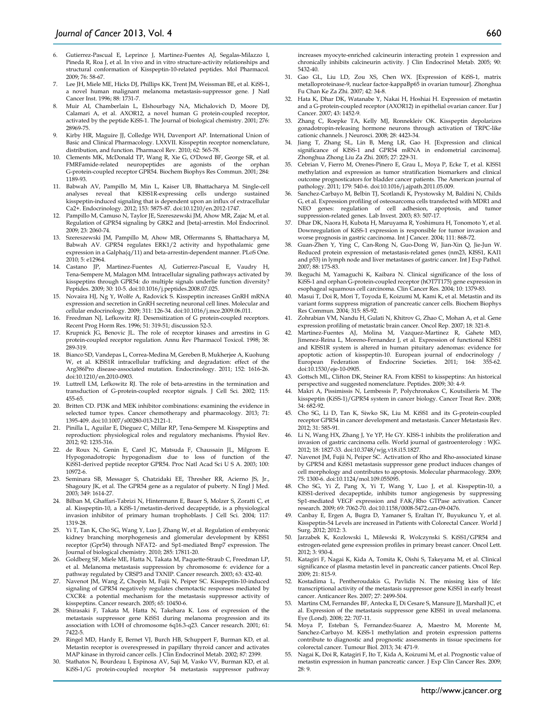- 7. Lee JH, Miele ME, Hicks DJ, Phillips KK, Trent JM, Weissman BE, et al. KiSS-1, a novel human malignant melanoma metastasis-suppressor gene. J Natl Cancer Inst. 1996; 88: 1731-7.
- 8. Muir AI, Chamberlain L, Elshourbagy NA, Michalovich D, Moore DJ, Calamari A, et al. AXOR12, a novel human G protein-coupled receptor, activated by the peptide KiSS-1. The Journal of biological chemistry. 2001; 276: 28969-75.
- Kirby HR, Maguire JJ, Colledge WH, Davenport AP. International Union of Basic and Clinical Pharmacology. LXXVII. Kisspeptin receptor nomenclature, distribution, and function. Pharmacol Rev. 2010; 62: 565-78.
- Clements MK, McDonald TP, Wang R, Xie G, O'Dowd BF, George SR, et al. FMRFamide-related neuropeptides are agonists of the orphan G-protein-coupled receptor GPR54. Biochem Biophys Res Commun. 2001; 284: 1189-93.
- 11. Babwah AV, Pampillo M, Min L, Kaiser UB, Bhattacharya M. Single-cell analyses reveal that KISS1R-expressing cells undergo sustained kisspeptin-induced signaling that is dependent upon an influx of extracellular Ca2+. Endocrinology. 2012; 153: 5875-87. doi:10.1210/en.2012-1747.
- 12. Pampillo M, Camuso N, Taylor JE, Szereszewski JM, Ahow MR, Zajac M, et al. Regulation of GPR54 signaling by GRK2 and {beta}-arrestin. Mol Endocrinol. 2009; 23: 2060-74.
- 13. Szereszewski JM, Pampillo M, Ahow MR, Offermanns S, Bhattacharya M, Babwah AV. GPR54 regulates ERK1/2 activity and hypothalamic gene expression in a Galpha(q/11) and beta-arrestin-dependent manner. PLoS One. 2010; 5: e12964.
- 14. Castano JP, Martinez-Fuentes AJ, Gutierrez-Pascual E, Vaudry H, Tena-Sempere M, Malagon MM. Intracellular signaling pathways activated by kisspeptins through GPR54: do multiple signals underlie function diversity? Peptides. 2009; 30: 10-5. doi:10.1016/j.peptides.2008.07.025.
- 15. Novaira HJ, Ng Y, Wolfe A, Radovick S. Kisspeptin increases GnRH mRNA expression and secretion in GnRH secreting neuronal cell lines. Molecular and cellular endocrinology. 2009; 311: 126-34. doi:10.1016/j.mce.2009.06.011.
- 16. Freedman NJ, Lefkowitz RJ. Desensitization of G protein-coupled receptors. Recent Prog Horm Res. 1996; 51: 319-51; discussion 52-3.
- 17. Krupnick JG, Benovic JL. The role of receptor kinases and arrestins in G protein-coupled receptor regulation. Annu Rev Pharmacol Toxicol. 1998; 38: 289-319.
- 18. Bianco SD, Vandepas L, Correa-Medina M, Gereben B, Mukherjee A, Kuohung W, et al. KISS1R intracellular trafficking and degradation: effect of the Arg386Pro disease-associated mutation. Endocrinology. 2011; 152: 1616-26. doi:10.1210/en.2010-0903.
- 19. Luttrell LM, Lefkowitz RJ. The role of beta-arrestins in the termination and transduction of G-protein-coupled receptor signals. J Cell Sci. 2002; 115: 455-65.
- 20. Britten CD. PI3K and MEK inhibitor combinations: examining the evidence in selected tumor types. Cancer chemotherapy and pharmacology. 2013; 71: 1395-409. doi:10.1007/s00280-013-2121-1.
- 21. Pinilla L, Aguilar E, Dieguez C, Millar RP, Tena-Sempere M. Kisspeptins and reproduction: physiological roles and regulatory mechanisms. Physiol Rev. 2012; 92: 1235-316.
- 22. de Roux N, Genin E, Carel JC, Matsuda F, Chaussain JL, Milgrom E. Hypogonadotropic hypogonadism due to loss of function of the KiSS1-derived peptide receptor GPR54. Proc Natl Acad Sci U S A. 2003; 100: 10972-6.
- 23. Seminara SB, Messager S, Chatzidaki EE, Thresher RR, Acierno JS, Jr., Shagoury JK, et al. The GPR54 gene as a regulator of puberty. N Engl J Med. 2003; 349: 1614-27.
- 24. Bilban M, Ghaffari-Tabrizi N, Hintermann E, Bauer S, Molzer S, Zoratti C, et al. Kisspeptin-10, a KiSS-1/metastin-derived decapeptide, is a physiological invasion inhibitor of primary human trophoblasts. J Cell Sci. 2004; 117: 1319-28.
- 25. Yi T, Tan K, Cho SG, Wang Y, Luo J, Zhang W, et al. Regulation of embryonic kidney branching morphogenesis and glomerular development by KISS1 receptor (Gpr54) through NFAT2- and Sp1-mediated Bmp7 expression. The Journal of biological chemistry. 2010; 285: 17811-20.
- 26. Goldberg SF, Miele ME, Hatta N, Takata M, Paquette-Straub C, Freedman LP, et al. Melanoma metastasis suppression by chromosome 6: evidence for a pathway regulated by CRSP3 and TXNIP. Cancer research. 2003; 63: 432-40.
- 27. Navenot JM, Wang Z, Chopin M, Fujii N, Peiper SC. Kisspeptin-10-induced signaling of GPR54 negatively regulates chemotactic responses mediated by CXCR4: a potential mechanism for the metastasis suppressor activity of kisspeptins. Cancer research. 2005; 65: 10450-6.
- 28. Shirasaki F, Takata M, Hatta N, Takehara K. Loss of expression of the metastasis suppressor gene KiSS1 during melanoma progression and its association with LOH of chromosome 6q16.3-q23. Cancer research. 2001; 61: 7422-5.
- 29. Ringel MD, Hardy E, Bernet VJ, Burch HB, Schuppert F, Burman KD, et al. Metastin receptor is overexpressed in papillary thyroid cancer and activates MAP kinase in thyroid cancer cells. J Clin Endocrinol Metab. 2002; 87: 2399.
- 30. Stathatos N, Bourdeau I, Espinosa AV, Saji M, Vasko VV, Burman KD, et al. KiSS-1/G protein-coupled receptor 54 metastasis suppressor pathway

increases myocyte-enriched calcineurin interacting protein 1 expression and chronically inhibits calcineurin activity. J Clin Endocrinol Metab. 2005; 90: 5432-40.

- 31. Gao GL, Liu LD, Zou XS, Chen WX. [Expression of KiSS-1, matrix metalloproteinase-9, nuclear factor-kappaBp65 in ovarian tumour]. Zhonghua Fu Chan Ke Za Zhi. 2007; 42: 34-8.
- 32. Hata K, Dhar DK, Watanabe Y, Nakai H, Hoshiai H. Expression of metastin and a G-protein-coupled receptor (AXOR12) in epithelial ovarian cancer. Eur J Cancer. 2007; 43: 1452-9.
- 33. Zhang C, Roepke TA, Kelly MJ, Ronnekleiv OK. Kisspeptin depolarizes gonadotropin-releasing hormone neurons through activation of TRPC-like cationic channels. J Neurosci. 2008; 28: 4423-34.
- 34. Jiang T, Zhang SL, Lin B, Meng LR, Gao H. [Expression and clinical significance of KISS-1 and GPR54 mRNA in endometrial carcinoma]. Zhonghua Zhong Liu Za Zhi. 2005; 27: 229-31.
- 35. Cebrian V, Fierro M, Orenes-Pinero E, Grau L, Moya P, Ecke T, et al. KISS1 methylation and expression as tumor stratification biomarkers and clinical outcome prognosticators for bladder cancer patients. The American journal of pathology. 2011; 179: 540-6. doi:10.1016/j.ajpath.2011.05.009.
- 36. Sanchez-Carbayo M, Belbin TJ, Scotlandi K, Prystowsky M, Baldini N, Childs G, et al. Expression profiling of osteosarcoma cells transfected with MDR1 and NEO genes: regulation of cell adhesion, apoptosis, and tumor suppression-related genes. Lab Invest. 2003; 83: 507-17.
- 37. Dhar DK, Naora H, Kubota H, Maruyama R, Yoshimura H, Tonomoto Y, et al. Downregulation of KiSS-1 expression is responsible for tumor invasion and worse prognosis in gastric carcinoma. Int J Cancer. 2004; 111: 868-72.
- 38. Guan-Zhen Y, Ying C, Can-Rong N, Guo-Dong W, Jian-Xin Q, Jie-Jun W. Reduced protein expression of metastasis-related genes (nm23, KISS1, KAI1 and p53) in lymph node and liver metastases of gastric cancer. Int J Exp Pathol. 2007; 88: 175-83.
- 39. Ikeguchi M, Yamaguchi K, Kaibara N. Clinical significance of the loss of KiSS-1 and orphan G-protein-coupled receptor (hOT7T175) gene expression in esophageal squamous cell carcinoma. Clin Cancer Res. 2004; 10: 1379-83.
- 40. Masui T, Doi R, Mori T, Toyoda E, Koizumi M, Kami K, et al. Metastin and its variant forms suppress migration of pancreatic cancer cells. Biochem Biophys Res Commun. 2004; 315: 85-92.
- 41. Zohrabian VM, Nandu H, Gulati N, Khitrov G, Zhao C, Mohan A, et al. Gene expression profiling of metastatic brain cancer. Oncol Rep. 2007; 18: 321-8.
- 42. Martinez-Fuentes AJ, Molina M, Vazquez-Martinez R, Gahete MD, Jimenez-Reina L, Moreno-Fernandez J, et al. Expression of functional KISS1 and KISS1R system is altered in human pituitary adenomas: evidence for apoptotic action of kisspeptin-10. European journal of endocrinology / European Federation of Endocrine Societies. 2011; 164: 355-62. doi:10.1530/eje-10-0905.
- 43. Gottsch ML, Clifton DK, Steiner RA. From KISS1 to kisspeptins: An historical perspective and suggested nomenclature. Peptides. 2009; 30: 4-9.
- 44. Makri A, Pissimissis N, Lembessis P, Polychronakos C, Koutsilieris M. The kisspeptin (KiSS-1)/GPR54 system in cancer biology. Cancer Treat Rev. 2008; 34: 682-92.
- 45. Cho SG, Li D, Tan K, Siwko SK, Liu M. KiSS1 and its G-protein-coupled receptor GPR54 in cancer development and metastasis. Cancer Metastasis Rev. 2012; 31: 585-91.
- 46. Li N, Wang HX, Zhang J, Ye YP, He GY. KISS-1 inhibits the proliferation and invasion of gastric carcinoma cells. World journal of gastroenterology : WJG. 2012; 18: 1827-33. doi:10.3748/wjg.v18.i15.1827.
- 47. Navenot JM, Fujii N, Peiper SC. Activation of Rho and Rho-associated kinase by GPR54 and KiSS1 metastasis suppressor gene product induces changes of cell morphology and contributes to apoptosis. Molecular pharmacology. 2009; 75: 1300-6. doi:10.1124/mol.109.055095.
- 48. Cho SG, Yi Z, Pang X, Yi T, Wang Y, Luo J, et al. Kisspeptin-10, a KISS1-derived decapeptide, inhibits tumor angiogenesis by suppressing Sp1-mediated VEGF expression and FAK/Rho GTPase activation. Cancer research. 2009; 69: 7062-70. doi:10.1158/0008-5472.can-09-0476.
- Canbay E, Ergen A, Bugra D, Yamaner S, Eraltan IY, Buyukuncu Y, et al. Kisspeptin-54 Levels are increased in Patients with Colorectal Cancer. World J Surg. 2012; 2012: 3.
- Jarzabek K, Kozlowski L, Milewski R, Wolczynski S. KiSS1/GPR54 and estrogen-related gene expression profiles in primary breast cancer. Oncol Lett. 2012; 3: 930-4.
- 51. Katagiri F, Nagai K, Kida A, Tomita K, Oishi S, Takeyama M, et al. Clinical significance of plasma metastin level in pancreatic cancer patients. Oncol Rep. 2009; 21: 815-9.
- 52. Kostadima L, Pentheroudakis G, Pavlidis N. The missing kiss of life: transcriptional activity of the metastasis suppressor gene KiSS1 in early breast cancer. Anticancer Res. 2007; 27: 2499-504.
- 53. Martins CM, Fernandes BF, Antecka E, Di Cesare S, Mansure JJ, Marshall JC, et al. Expression of the metastasis suppressor gene KISS1 in uveal melanoma. Eye (Lond). 2008; 22: 707-11.
- 54. Moya P, Esteban S, Fernandez-Suarez A, Maestro M, Morente M, Sanchez-Carbayo M. KiSS-1 methylation and protein expression patterns contribute to diagnostic and prognostic assessments in tissue specimens for colorectal cancer. Tumour Biol. 2013; 34: 471-9.
- 55. Nagai K, Doi R, Katagiri F, Ito T, Kida A, Koizumi M, et al. Prognostic value of metastin expression in human pancreatic cancer. J Exp Clin Cancer Res. 2009; 28: 9.